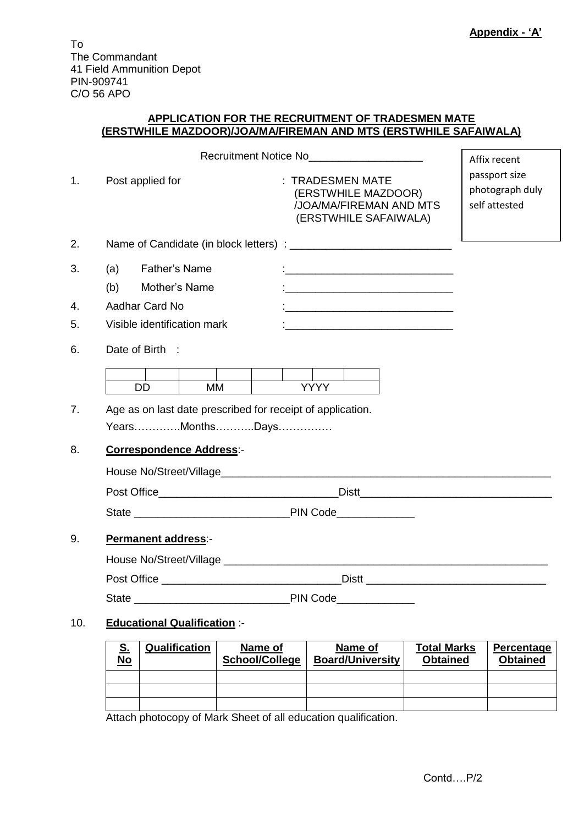To The Commandant 41 Field Ammunition Depot PIN-909741 C/O 56 APO

#### **APPLICATION FOR THE RECRUITMENT OF TRADESMEN MATE (ERSTWHILE MAZDOOR)/JOA/MA/FIREMAN AND MTS (ERSTWHILE SAFAIWALA)**

|                |                                                                               | Recruitment Notice No<br><u>Example 20</u>                                                  | Affix recent                                      |
|----------------|-------------------------------------------------------------------------------|---------------------------------------------------------------------------------------------|---------------------------------------------------|
| 1 <sub>1</sub> | Post applied for                                                              | : TRADESMEN MATE<br>(ERSTWHILE MAZDOOR)<br>/JOA/MA/FIREMAN AND MTS<br>(ERSTWHILE SAFAIWALA) | passport size<br>photograph duly<br>self attested |
| 2.             |                                                                               |                                                                                             |                                                   |
| 3.             | <b>Father's Name</b><br>(a)<br>(b)<br>Mother's Name                           |                                                                                             |                                                   |
| 4.             | Aadhar Card No                                                                |                                                                                             |                                                   |
| 5.             | Visible identification mark                                                   | <u> 1980 - Jan Barnett, fransk politik (f. 1980)</u>                                        |                                                   |
| 6.             | Date of Birth :                                                               |                                                                                             |                                                   |
|                | DD.<br><b>MM</b>                                                              | <b>YYYY</b>                                                                                 |                                                   |
| 7.             | Age as on last date prescribed for receipt of application.<br>YearsMonthsDays |                                                                                             |                                                   |
| 8.             | <b>Correspondence Address:-</b>                                               |                                                                                             |                                                   |
|                |                                                                               |                                                                                             |                                                   |
|                |                                                                               |                                                                                             |                                                   |
| 9.             | Permanent address:-                                                           |                                                                                             |                                                   |
|                |                                                                               |                                                                                             |                                                   |
|                |                                                                               |                                                                                             |                                                   |
|                | State PIN Code                                                                |                                                                                             |                                                   |
| 10.            | <b>Educational Qualification :-</b>                                           |                                                                                             |                                                   |

| <u>୦.</u><br><u>No</u> | Qualification | Name of<br>School/College | Name of<br><b>Board/University</b> | <b>Total Marks</b><br><b>Obtained</b> | Percentage<br><b>Obtained</b> |
|------------------------|---------------|---------------------------|------------------------------------|---------------------------------------|-------------------------------|
|                        |               |                           |                                    |                                       |                               |
|                        |               |                           |                                    |                                       |                               |
|                        |               |                           |                                    |                                       |                               |

Attach photocopy of Mark Sheet of all education qualification.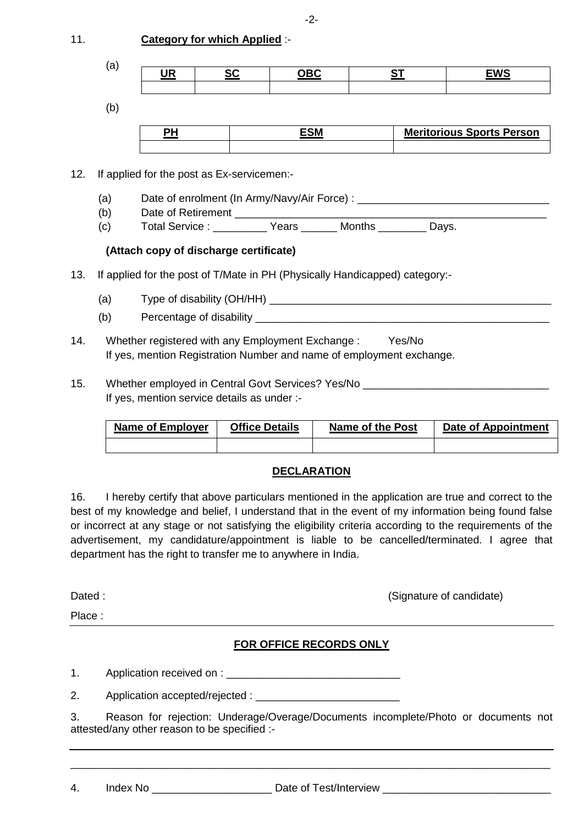| 11. | <b>Category for which Applied :-</b> |
|-----|--------------------------------------|
|-----|--------------------------------------|

| (a) | Ю<br>VЛ<br>$\sim$ $\sim$ | ^^ | <b>DDC</b><br>◡◡ | ~- | <b>FINO</b><br>vo |
|-----|--------------------------|----|------------------|----|-------------------|
|     |                          |    |                  |    |                   |

(b)

| $-0.5$ | <b>Meritorious Sports Person</b> |
|--------|----------------------------------|
|        |                                  |

12. If applied for the post as Ex-servicemen:-

- (a) Date of enrolment (In Army/Navy/Air Force) : \_\_\_\_\_\_\_\_\_\_\_\_\_\_\_\_\_\_\_\_\_\_\_\_\_\_\_\_\_\_\_
- (b) Date of Retirement
- (c) Total Service : \_\_\_\_\_\_\_\_\_ Years \_\_\_\_\_\_ Months \_\_\_\_\_\_\_\_ Days.

## **(Attach copy of discharge certificate)**

- 13. If applied for the post of T/Mate in PH (Physically Handicapped) category:-
	- (a) Type of disability  $(OH/HH)$
	- (b) Percentage of disability
- 14. Whether registered with any Employment Exchange : Yes/No If yes, mention Registration Number and name of employment exchange.
- 15. Whether employed in Central Govt Services? Yes/No If yes, mention service details as under :-

| Name of Employer | <b>Office Details</b> | Name of the Post | Date of Appointment |
|------------------|-----------------------|------------------|---------------------|
|                  |                       |                  |                     |

# **DECLARATION**

16. I hereby certify that above particulars mentioned in the application are true and correct to the best of my knowledge and belief, I understand that in the event of my information being found false or incorrect at any stage or not satisfying the eligibility criteria according to the requirements of the advertisement, my candidature/appointment is liable to be cancelled/terminated. I agree that department has the right to transfer me to anywhere in India.

Place :

Dated : (Signature of candidate)  $\sim$  (Signature of candidate)

# **FOR OFFICE RECORDS ONLY**

1. Application received on :

2. Application accepted/rejected : \_\_\_\_\_\_\_\_\_\_\_\_\_\_\_\_\_\_\_\_\_\_\_\_

3. Reason for rejection: Underage/Overage/Documents incomplete/Photo or documents not attested/any other reason to be specified :-

\_\_\_\_\_\_\_\_\_\_\_\_\_\_\_\_\_\_\_\_\_\_\_\_\_\_\_\_\_\_\_\_\_\_\_\_\_\_\_\_\_\_\_\_\_\_\_\_\_\_\_\_\_\_\_\_\_\_\_\_\_\_\_\_\_\_\_\_\_\_\_\_\_\_\_\_\_\_\_\_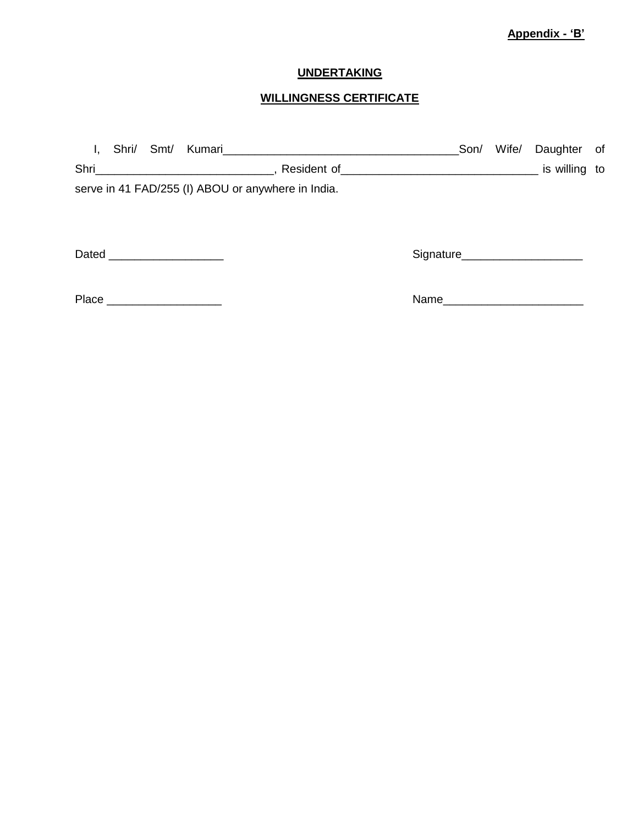## **Appendix - 'B'**

## **UNDERTAKING**

## **WILLINGNESS CERTIFICATE**

| $\mathbf{I}_{\mathbf{r}}$ | Shri/ Smt/ |                              | Kumari <b>Manazarta Nashrida Nashrida</b> Museum Museum Museum Museum Museum Museum Museum Museum Museum Museum Museum | Son/                            | Wife/ | Daughter of |  |
|---------------------------|------------|------------------------------|------------------------------------------------------------------------------------------------------------------------|---------------------------------|-------|-------------|--|
|                           |            |                              |                                                                                                                        |                                 |       |             |  |
|                           |            |                              | serve in 41 FAD/255 (I) ABOU or anywhere in India.                                                                     |                                 |       |             |  |
|                           |            |                              |                                                                                                                        |                                 |       |             |  |
|                           |            |                              |                                                                                                                        |                                 |       |             |  |
|                           |            | Dated ______________________ |                                                                                                                        | Signature______________________ |       |             |  |
|                           |            |                              |                                                                                                                        |                                 |       |             |  |
|                           |            | Place ______________________ |                                                                                                                        | Name                            |       |             |  |
|                           |            |                              |                                                                                                                        |                                 |       |             |  |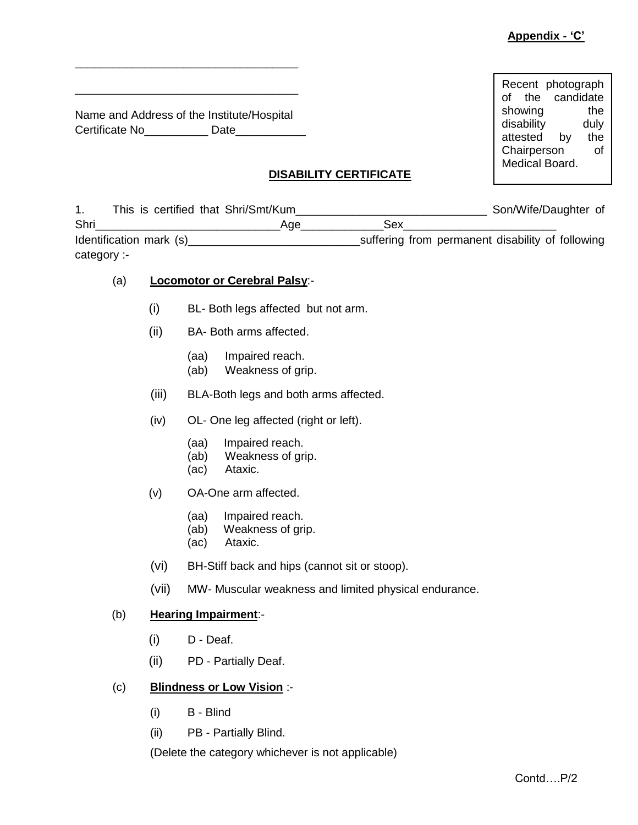Recent photograph of the candidate showing the disability duly attested by the Chairperson of Medical Board.

Name and Address of the Institute/Hospital Certificate No\_\_\_\_\_\_\_\_\_\_\_\_\_ Date\_\_\_\_\_\_\_\_\_\_\_\_\_

\_\_\_\_\_\_\_\_\_\_\_\_\_\_\_\_\_\_\_\_\_\_\_\_\_\_\_\_\_\_\_\_\_\_\_

\_\_\_\_\_\_\_\_\_\_\_\_\_\_\_\_\_\_\_\_\_\_\_\_\_\_\_\_\_\_\_\_\_\_\_

**DISABILITY CERTIFICATE**

|              | This is certified that Shri/Smt/Kum |     |                                                  | Son/Wife/Daughter of |  |
|--------------|-------------------------------------|-----|--------------------------------------------------|----------------------|--|
| Shri         |                                     | Aae | Sex                                              |                      |  |
|              | Identification mark (s)             |     | suffering from permanent disability of following |                      |  |
| category $-$ |                                     |     |                                                  |                      |  |

#### (a) **Locomotor or Cerebral Palsy**:-

- (i) BL- Both legs affected but not arm.
- (ii) BA- Both arms affected.
	- (aa) Impaired reach.
	- (ab) Weakness of grip.
- (iii) BLA-Both legs and both arms affected.
- (iv) OL- One leg affected (right or left).
	- (aa) Impaired reach.
	- (ab) Weakness of grip.
	- (ac) Ataxic.
- (v) OA-One arm affected.
	- (aa) Impaired reach.
	- (ab) Weakness of grip.
	- (ac) Ataxic.
- (vi) BH-Stiff back and hips (cannot sit or stoop).
- (vii) MW- Muscular weakness and limited physical endurance.

#### (b) **Hearing Impairment**:-

- $(i)$  D Deaf.
- (ii) PD Partially Deaf.

#### **Blindness or Low Vision :-** $(c)$

- (i) B Blind
- (ii) PB Partially Blind.

(Delete the category whichever is not applicable)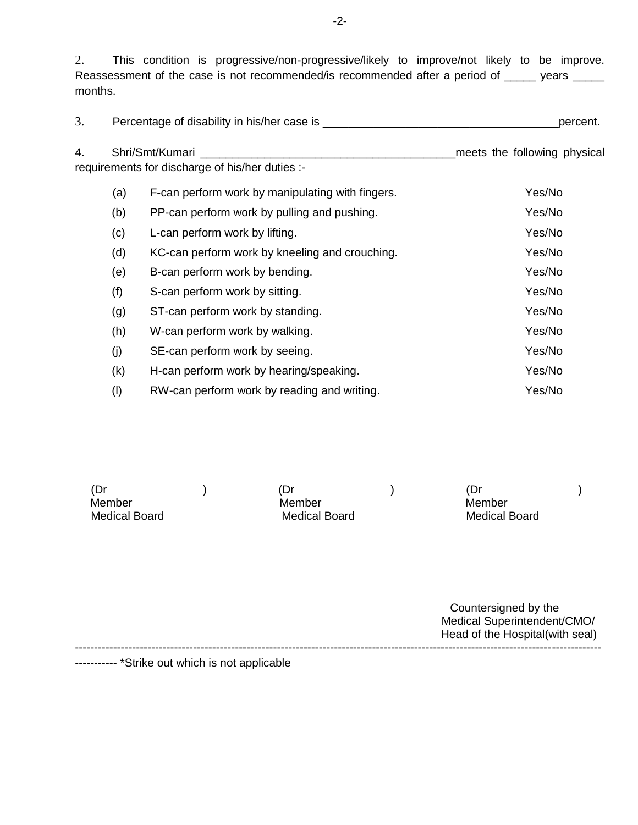2. This condition is progressive/non-progressive/likely to improve/not likely to be improve. Reassessment of the case is not recommended/is recommended after a period of \_\_\_\_\_ years \_\_\_\_\_ months.

|  | Percentage of disability in his/her case is | percent. |
|--|---------------------------------------------|----------|
|--|---------------------------------------------|----------|

| 4. | Shri/Smt/Kumari                                 |  | meets the following physical |  |
|----|-------------------------------------------------|--|------------------------------|--|
|    | requirements for discharge of his/her duties :- |  |                              |  |

| (a) | F-can perform work by manipulating with fingers. | Yes/No |
|-----|--------------------------------------------------|--------|
| (b) | PP-can perform work by pulling and pushing.      | Yes/No |
| (c) | L-can perform work by lifting.                   | Yes/No |
| (d) | KC-can perform work by kneeling and crouching.   | Yes/No |
| (e) | B-can perform work by bending.                   | Yes/No |
| (f) | S-can perform work by sitting.                   | Yes/No |
| (g) | ST-can perform work by standing.                 | Yes/No |
| (h) | W-can perform work by walking.                   | Yes/No |
| (j) | SE-can perform work by seeing.                   | Yes/No |
| (k) | H-can perform work by hearing/speaking.          | Yes/No |
| (1) | RW-can perform work by reading and writing.      | Yes/No |

(Dr ) (Dr ) (Dr ) Member Member Member Medical Board Medical Board Medical Board

Countersigned by the Medical Superintendent/CMO/ Head of the Hospital(with seal) ------------------------------------------------------------------------------------------------------------------------------------------

----------- \*Strike out which is not applicable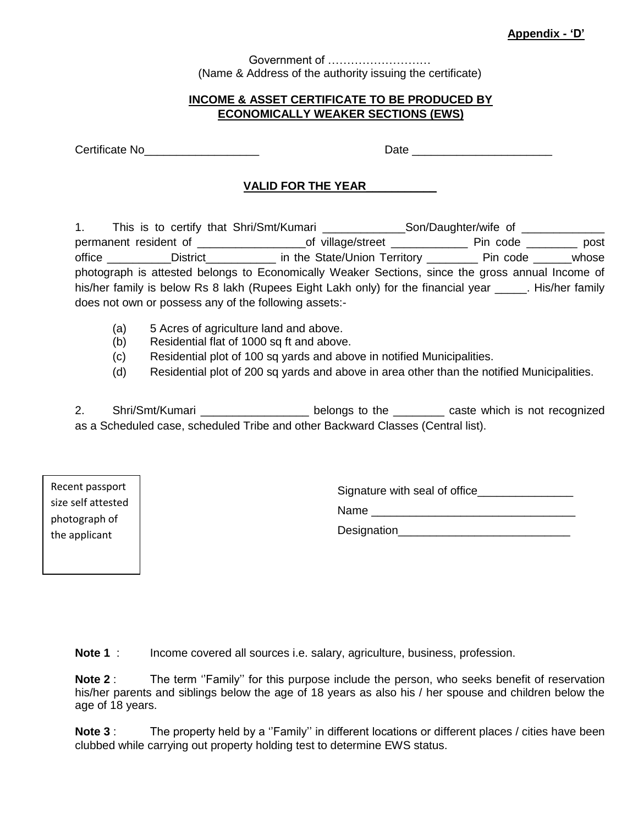Government of ……………………… (Name & Address of the authority issuing the certificate)

#### **INCOME & ASSET CERTIFICATE TO BE PRODUCED BY ECONOMICALLY WEAKER SECTIONS (EWS)**

Certificate No\_\_\_\_\_\_\_\_\_\_\_\_\_\_\_\_\_\_ Date \_\_\_\_\_\_\_\_\_\_\_\_\_\_\_\_\_\_\_\_\_\_

## **VALID FOR THE YEAR**\_\_\_\_\_\_\_\_\_\_\_

1. This is to certify that Shri/Smt/Kumari \_\_\_\_\_\_\_\_\_\_\_\_\_\_Son/Daughter/wife of \_\_\_\_\_\_\_\_\_ permanent resident of \_\_\_\_\_\_\_\_\_\_\_\_\_\_\_\_\_\_\_\_\_\_\_\_of village/street \_\_\_\_\_\_\_\_\_\_\_\_\_\_\_\_\_\_\_\_\_ Pin code \_\_\_\_\_\_\_\_\_\_\_\_ post office \_\_\_\_\_\_\_\_\_District\_\_\_\_\_\_\_\_\_\_\_\_\_ in the State/Union Territory \_\_\_\_\_\_\_\_\_\_ Pin code \_\_\_\_\_\_\_whose photograph is attested belongs to Economically Weaker Sections, since the gross annual Income of his/her family is below Rs 8 lakh (Rupees Eight Lakh only) for the financial year Filis/her family does not own or possess any of the following assets:-

- (a) 5 Acres of agriculture land and above.
- (b) Residential flat of 1000 sq ft and above.
- (c) Residential plot of 100 sq yards and above in notified Municipalities.
- (d) Residential plot of 200 sq yards and above in area other than the notified Municipalities.

2. Shri/Smt/Kumari \_\_\_\_\_\_\_\_\_\_\_\_\_\_\_\_\_\_\_\_ belongs to the \_\_\_\_\_\_\_\_\_ caste which is not recognized as a Scheduled case, scheduled Tribe and other Backward Classes (Central list).

Recent passport size self attested photograph of the applicant

Signature with seal of office

Name \_\_\_\_\_\_\_\_\_\_\_\_\_\_\_\_\_\_\_\_\_\_\_\_\_\_\_\_\_\_\_\_

Designation\_\_\_\_\_\_\_\_\_\_\_\_\_\_\_\_\_\_\_\_\_\_\_\_\_\_\_

Income covered all sources i.e. salary, agriculture, business, profession. Note  $1:$ 

**Note 2** : The term ''Family'' for this purpose include the person, who seeks benefit of reservation his/her parents and siblings below the age of 18 years as also his / her spouse and children below the age of 18 years. Note  $2<sup>+</sup>$ 

**Note 3** : The property held by a "Family" in different locations or different places / cities have been Rote 3: The property held by a Trainily in different locations of different control of the carrying out property holding test to determine EWS status. business,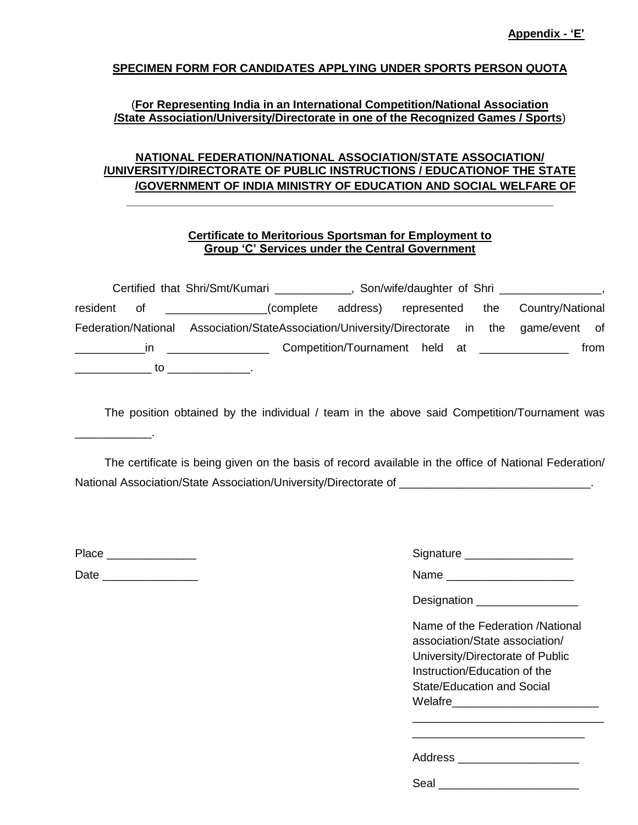#### **SPECIMEN FORM FOR CANDIDATES APPLYING UNDER SPORTS PERSON QUOTA**

#### (**For Representing India in an International Competition/National Association /State Association/University/Directorate in one of the Recognized Games / Sports**)

### **NATIONAL FEDERATION/NATIONAL ASSOCIATION/STATE ASSOCIATION/ /UNIVERSITY/DIRECTORATE OF PUBLIC INSTRUCTIONS / EDUCATIONOF THE STATE /GOVERNMENT OF INDIA MINISTRY OF EDUCATION AND SOCIAL WELFARE OF**

**\_\_\_\_\_\_\_\_\_\_\_\_\_\_\_\_\_\_\_\_\_\_\_\_\_\_\_\_\_\_\_\_\_\_\_\_\_\_\_\_\_\_\_\_\_\_\_\_\_\_\_\_\_\_\_\_\_\_\_\_\_\_\_\_\_\_\_**

#### **Certificate to Meritorious Sportsman for Employment to Group 'C' Services under the Central Government**

| Certified that Shri/Smt/Kumari |                                                                                                                                                                                                                                                    |                                             |  |                  |
|--------------------------------|----------------------------------------------------------------------------------------------------------------------------------------------------------------------------------------------------------------------------------------------------|---------------------------------------------|--|------------------|
| resident<br>of                 | (complete)<br><u>and the state of the state of the state of the state of the state of the state of the state of the state of the state of the state of the state of the state of the state of the state of the state of the state of the state</u> | address) represented the                    |  | Country/National |
| Federation/National            | Association/StateAssociation/University/Directorate in the game/event of                                                                                                                                                                           |                                             |  |                  |
| ın                             |                                                                                                                                                                                                                                                    | Competition/Tournament held at ____________ |  | from             |
| to                             |                                                                                                                                                                                                                                                    |                                             |  |                  |

The position obtained by the individual / team in the above said Competition/Tournament was

The certificate is being given on the basis of record available in the office of National Federation/ National Association/State Association/University/Directorate of

Place \_\_\_\_\_\_\_\_\_\_\_\_\_\_ Signature \_\_\_\_\_\_\_\_\_\_\_\_\_\_\_\_\_

\_\_\_\_\_\_\_\_\_\_\_\_.

Date \_\_\_\_\_\_\_\_\_\_\_\_\_\_\_ Name \_\_\_\_\_\_\_\_\_\_\_\_\_\_\_\_\_\_\_\_

| Signature |  |
|-----------|--|
|           |  |

Designation \_\_\_\_\_\_\_\_\_\_\_\_\_\_\_\_

| Name of the Federation /National |
|----------------------------------|
| association/State association/   |
| University/Directorate of Public |
| Instruction/Education of the     |
| State/Education and Social       |
| Welafre                          |
|                                  |

\_\_\_\_\_\_\_\_\_\_\_\_\_\_\_\_\_\_\_\_\_\_\_\_\_\_\_\_\_\_ \_\_\_\_\_\_\_\_\_\_\_\_\_\_\_\_\_\_\_\_\_\_\_\_\_\_\_

| Address |  |  |  |
|---------|--|--|--|
|         |  |  |  |

Seal \_\_\_\_\_\_\_\_\_\_\_\_\_\_\_\_\_\_\_\_\_\_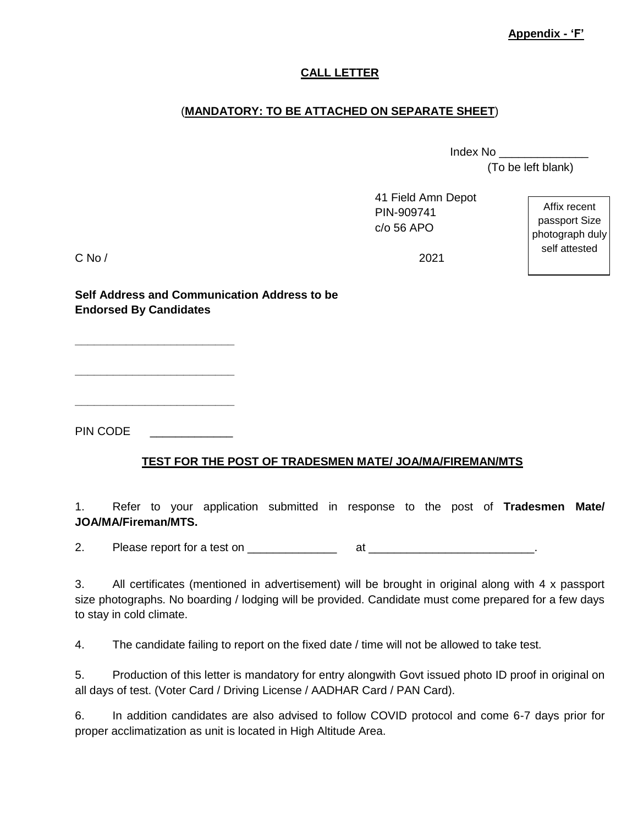**Appendix - 'F'** 

## **CALL LETTER**

## (**MANDATORY: TO BE ATTACHED ON SEPARATE SHEET**)

Index No \_\_\_\_\_\_\_\_\_\_\_\_\_\_ (To be left blank)

|            | 41 Field Amn Depot<br>PIN-909741<br>$c$ / $o$ 56 APO | Affix recent<br>passport Size<br>photograph duly |
|------------|------------------------------------------------------|--------------------------------------------------|
| $C$ No $/$ | 2021                                                 | self attested                                    |

**Self Address and Communication Address to be Endorsed By Candidates** 

PIN CODE

**\_\_\_\_\_\_\_\_\_\_\_\_\_\_\_\_\_\_\_\_\_\_\_\_\_**

**\_\_\_\_\_\_\_\_\_\_\_\_\_\_\_\_\_\_\_\_\_\_\_\_\_**

**\_\_\_\_\_\_\_\_\_\_\_\_\_\_\_\_\_\_\_\_\_\_\_\_\_**

## **TEST FOR THE POST OF TRADESMEN MATE/ JOA/MA/FIREMAN/MTS**

1. Refer to your application submitted in response to the post of **Tradesmen Mate/ JOA/MA/Fireman/MTS.**

2. Please report for a test on \_\_\_\_\_\_\_\_\_\_\_\_\_\_ at \_\_\_\_\_\_\_\_\_\_\_\_\_\_\_\_\_\_\_\_\_\_\_\_\_\_.

3. All certificates (mentioned in advertisement) will be brought in original along with 4 x passport size photographs. No boarding / lodging will be provided. Candidate must come prepared for a few days to stay in cold climate.

4. The candidate failing to report on the fixed date / time will not be allowed to take test.

5. Production of this letter is mandatory for entry alongwith Govt issued photo ID proof in original on all days of test. (Voter Card / Driving License / AADHAR Card / PAN Card).

6. In addition candidates are also advised to follow COVID protocol and come 6-7 days prior for proper acclimatization as unit is located in High Altitude Area.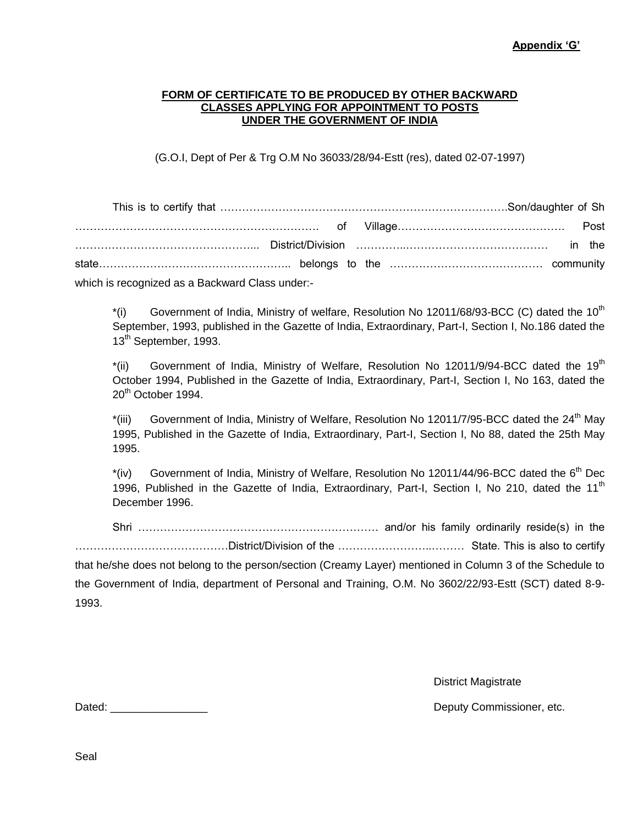#### **FORM OF CERTIFICATE TO BE PRODUCED BY OTHER BACKWARD CLASSES APPLYING FOR APPOINTMENT TO POSTS UNDER THE GOVERNMENT OF INDIA**

(G.O.I, Dept of Per & Trg O.M No 36033/28/94-Estt (res), dated 02-07-1997)

| which is recognized as a Backward Class under:- |  |  |  |  |
|-------------------------------------------------|--|--|--|--|

 $*(i)$  Government of India, Ministry of welfare, Resolution No 12011/68/93-BCC (C) dated the 10<sup>th</sup> September, 1993, published in the Gazette of India, Extraordinary, Part-I, Section I, No.186 dated the 13<sup>th</sup> September, 1993.

 $*(ii)$  Government of India, Ministry of Welfare, Resolution No 12011/9/94-BCC dated the 19<sup>th</sup> October 1994, Published in the Gazette of India, Extraordinary, Part-I, Section I, No 163, dated the 20<sup>th</sup> October 1994.

\*(iii) Government of India, Ministry of Welfare, Resolution No 12011/7/95-BCC dated the 24<sup>th</sup> May 1995, Published in the Gazette of India, Extraordinary, Part-I, Section I, No 88, dated the 25th May 1995.

 $*(iv)$  Government of India, Ministry of Welfare, Resolution No 12011/44/96-BCC dated the 6<sup>th</sup> Dec 1996, Published in the Gazette of India, Extraordinary, Part-I, Section I, No 210, dated the 11<sup>th</sup> December 1996.

Shri ………………………………………………………… and/or his family ordinarily reside(s) in the ……………………………………District/Division of the ……………………..……… State. This is also to certify that he/she does not belong to the person/section (Creamy Layer) mentioned in Column 3 of the Schedule to the Government of India, department of Personal and Training, O.M. No 3602/22/93-Estt (SCT) dated 8-9- 1993.

District Magistrate

Dated: \_\_\_\_\_\_\_\_\_\_\_\_\_\_\_\_ Deputy Commissioner, etc.

Seal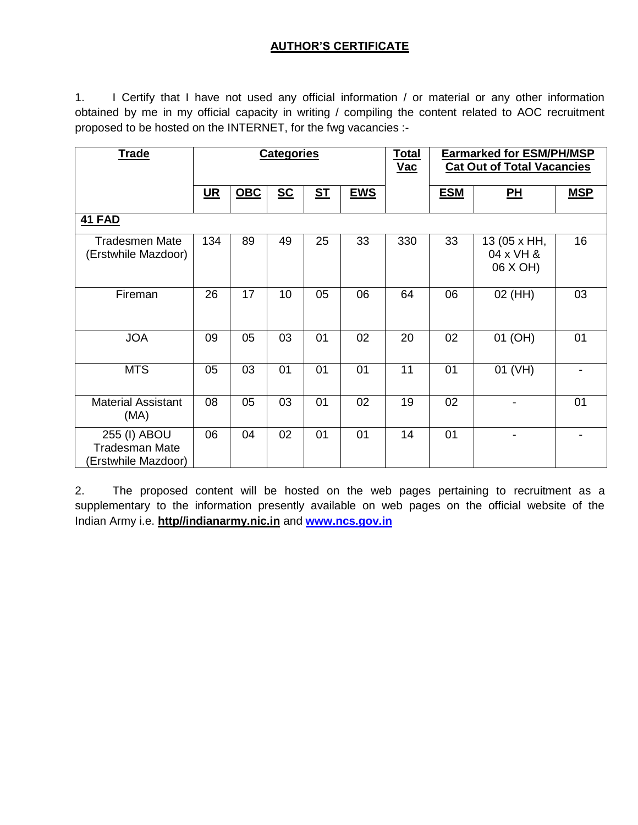# **AUTHOR'S CERTIFICATE**

1. I Certify that I have not used any official information / or material or any other information obtained by me in my official capacity in writing / compiling the content related to AOC recruitment proposed to be hosted on the INTERNET, for the fwg vacancies :-

| <b>Trade</b>                                                 | <b>Categories</b> |            |      |                | <b>Total</b><br>$Vac$ | <b>Earmarked for ESM/PH/MSP</b><br><b>Cat Out of Total Vacancies</b> |            |                                       |            |
|--------------------------------------------------------------|-------------------|------------|------|----------------|-----------------------|----------------------------------------------------------------------|------------|---------------------------------------|------------|
|                                                              | $UR$              | <b>OBC</b> | $SC$ | S <sub>T</sub> | <b>EWS</b>            |                                                                      | <b>ESM</b> | <b>PH</b>                             | <b>MSP</b> |
| <b>41 FAD</b>                                                |                   |            |      |                |                       |                                                                      |            |                                       |            |
| <b>Tradesmen Mate</b><br>(Erstwhile Mazdoor)                 | 134               | 89         | 49   | 25             | 33                    | 330                                                                  | 33         | 13 (05 x HH,<br>04 x VH &<br>06 X OH) | 16         |
| Fireman                                                      | 26                | 17         | 10   | 05             | 06                    | 64                                                                   | 06         | 02 (HH)                               | 03         |
| <b>JOA</b>                                                   | 09                | 05         | 03   | 01             | 02                    | 20                                                                   | 02         | 01 (OH)                               | 01         |
| <b>MTS</b>                                                   | 05                | 03         | 01   | 01             | 01                    | 11                                                                   | 01         | 01 (VH)                               |            |
| <b>Material Assistant</b><br>(MA)                            | 08                | 05         | 03   | 01             | 02                    | 19                                                                   | 02         |                                       | 01         |
| 255 (I) ABOU<br><b>Tradesman Mate</b><br>(Erstwhile Mazdoor) | 06                | 04         | 02   | 01             | 01                    | 14                                                                   | 01         |                                       |            |

2. The proposed content will be hosted on the web pages pertaining to recruitment as a supplementary to the information presently available on web pages on the official website of the Indian Army i.e. **http//indianarmy.nic.in** and **www.ncs.gov.in**